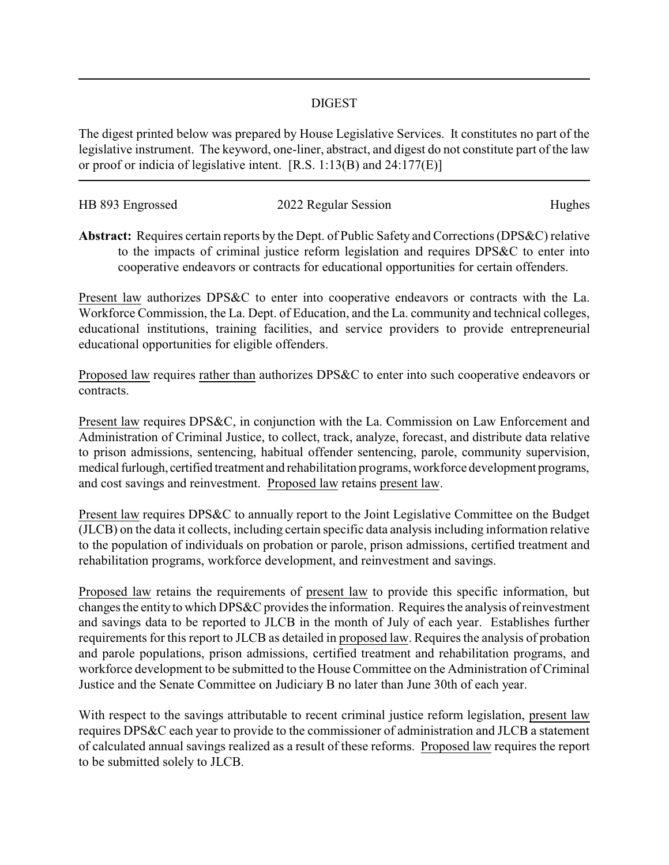## DIGEST

The digest printed below was prepared by House Legislative Services. It constitutes no part of the legislative instrument. The keyword, one-liner, abstract, and digest do not constitute part of the law or proof or indicia of legislative intent. [R.S. 1:13(B) and 24:177(E)]

| HB 893 Engrossed | 2022 Regular Session | Hughes |
|------------------|----------------------|--------|
|                  |                      |        |

**Abstract:** Requires certain reports by the Dept. of Public Safety and Corrections (DPS&C) relative to the impacts of criminal justice reform legislation and requires DPS&C to enter into cooperative endeavors or contracts for educational opportunities for certain offenders.

Present law authorizes DPS&C to enter into cooperative endeavors or contracts with the La. Workforce Commission, the La. Dept. of Education, and the La. community and technical colleges, educational institutions, training facilities, and service providers to provide entrepreneurial educational opportunities for eligible offenders.

Proposed law requires rather than authorizes DPS&C to enter into such cooperative endeavors or contracts.

Present law requires DPS&C, in conjunction with the La. Commission on Law Enforcement and Administration of Criminal Justice, to collect, track, analyze, forecast, and distribute data relative to prison admissions, sentencing, habitual offender sentencing, parole, community supervision, medical furlough, certified treatment and rehabilitation programs, workforce development programs, and cost savings and reinvestment. Proposed law retains present law.

Present law requires DPS&C to annually report to the Joint Legislative Committee on the Budget (JLCB) on the data it collects, including certain specific data analysis including information relative to the population of individuals on probation or parole, prison admissions, certified treatment and rehabilitation programs, workforce development, and reinvestment and savings.

Proposed law retains the requirements of present law to provide this specific information, but changes the entity to which DPS&C provides the information. Requires the analysis of reinvestment and savings data to be reported to JLCB in the month of July of each year. Establishes further requirements for this report to JLCB as detailed in proposed law. Requires the analysis of probation and parole populations, prison admissions, certified treatment and rehabilitation programs, and workforce development to be submitted to the House Committee on the Administration of Criminal Justice and the Senate Committee on Judiciary B no later than June 30th of each year.

With respect to the savings attributable to recent criminal justice reform legislation, present law requires DPS&C each year to provide to the commissioner of administration and JLCB a statement of calculated annual savings realized as a result of these reforms. Proposed law requires the report to be submitted solely to JLCB.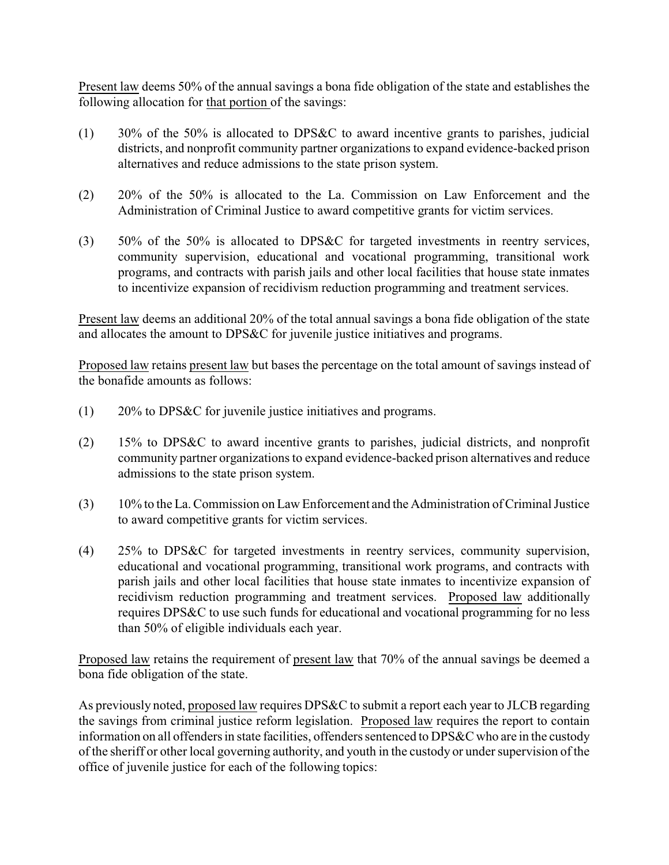Present law deems 50% of the annual savings a bona fide obligation of the state and establishes the following allocation for that portion of the savings:

- (1) 30% of the 50% is allocated to DPS&C to award incentive grants to parishes, judicial districts, and nonprofit community partner organizations to expand evidence-backed prison alternatives and reduce admissions to the state prison system.
- (2) 20% of the 50% is allocated to the La. Commission on Law Enforcement and the Administration of Criminal Justice to award competitive grants for victim services.
- (3) 50% of the 50% is allocated to DPS&C for targeted investments in reentry services, community supervision, educational and vocational programming, transitional work programs, and contracts with parish jails and other local facilities that house state inmates to incentivize expansion of recidivism reduction programming and treatment services.

Present law deems an additional 20% of the total annual savings a bona fide obligation of the state and allocates the amount to DPS&C for juvenile justice initiatives and programs.

Proposed law retains present law but bases the percentage on the total amount of savings instead of the bonafide amounts as follows:

- (1) 20% to DPS&C for juvenile justice initiatives and programs.
- (2) 15% to DPS&C to award incentive grants to parishes, judicial districts, and nonprofit community partner organizations to expand evidence-backed prison alternatives and reduce admissions to the state prison system.
- (3) 10% to the La. Commission on Law Enforcement and the Administration of Criminal Justice to award competitive grants for victim services.
- (4) 25% to DPS&C for targeted investments in reentry services, community supervision, educational and vocational programming, transitional work programs, and contracts with parish jails and other local facilities that house state inmates to incentivize expansion of recidivism reduction programming and treatment services. Proposed law additionally requires DPS&C to use such funds for educational and vocational programming for no less than 50% of eligible individuals each year.

Proposed law retains the requirement of present law that 70% of the annual savings be deemed a bona fide obligation of the state.

As previously noted, proposed law requires DPS&C to submit a report each year to JLCB regarding the savings from criminal justice reform legislation. Proposed law requires the report to contain information on all offenders in state facilities, offenders sentenced to DPS&C who are in the custody of the sheriff or other local governing authority, and youth in the custody or under supervision of the office of juvenile justice for each of the following topics: